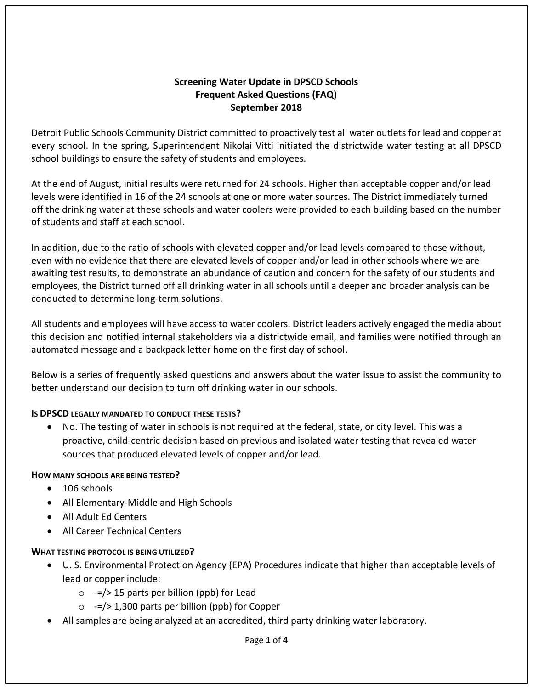## **Screening Water Update in DPSCD Schools Frequent Asked Questions (FAQ) September 2018**

Detroit Public Schools Community District committed to proactively test all water outlets for lead and copper at every school. In the spring, Superintendent Nikolai Vitti initiated the districtwide water testing at all DPSCD school buildings to ensure the safety of students and employees.

At the end of August, initial results were returned for 24 schools. Higher than acceptable copper and/or lead levels were identified in 16 of the 24 schools at one or more water sources. The District immediately turned off the drinking water at these schools and water coolers were provided to each building based on the number of students and staff at each school.

In addition, due to the ratio of schools with elevated copper and/or lead levels compared to those without, even with no evidence that there are elevated levels of copper and/or lead in other schools where we are awaiting test results, to demonstrate an abundance of caution and concern for the safety of our students and employees, the District turned off all drinking water in all schools until a deeper and broader analysis can be conducted to determine long-term solutions.

All students and employees will have access to water coolers. District leaders actively engaged the media about this decision and notified internal stakeholders via a districtwide email, and families were notified through an automated message and a backpack letter home on the first day of school.

Below is a series of frequently asked questions and answers about the water issue to assist the community to better understand our decision to turn off drinking water in our schools.

## **IS DPSCD LEGALLY MANDATED TO CONDUCT THESE TESTS?**

• No. The testing of water in schools is not required at the federal, state, or city level. This was a proactive, child-centric decision based on previous and isolated water testing that revealed water sources that produced elevated levels of copper and/or lead.

## **HOW MANY SCHOOLS ARE BEING TESTED?**

- 106 schools
- All Elementary-Middle and High Schools
- All Adult Ed Centers
- All Career Technical Centers

## **WHAT TESTING PROTOCOL IS BEING UTILIZED?**

- U. S. Environmental Protection Agency (EPA) Procedures indicate that higher than acceptable levels of lead or copper include:
	- $\circ$  -=/> 15 parts per billion (ppb) for Lead
	- $\circ$  -=/> 1,300 parts per billion (ppb) for Copper
- All samples are being analyzed at an accredited, third party drinking water laboratory.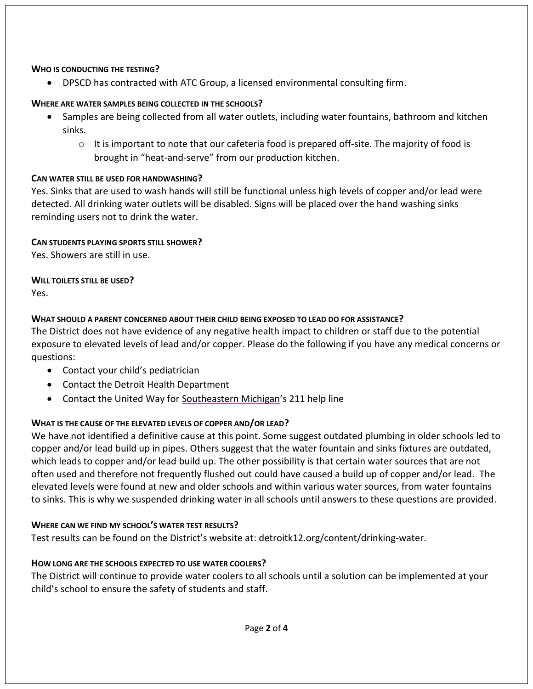### **WHO IS CONDUCTING THE TESTING?**

• DPSCD has contracted with ATC Group, a licensed environmental consulting firm.

## **WHERE ARE WATER SAMPLES BEING COLLECTED IN THE SCHOOLS?**

- Samples are being collected from all water outlets, including water fountains, bathroom and kitchen sinks.
	- $\circ$  It is important to note that our cafeteria food is prepared off-site. The majority of food is brought in "heat-and-serve" from our production kitchen.

## **CAN WATER STILL BE USED FOR HANDWASHING?**

Yes. Sinks that are used to wash hands will still be functional unless high levels of copper and/or lead were detected. All drinking water outlets will be disabled. Signs will be placed over the hand washing sinks reminding users not to drink the water.

## **CAN STUDENTS PLAYING SPORTS STILL SHOWER?**

Yes. Showers are still in use.

## **WILL TOILETS STILL BE USED?**

Yes.

# **WHAT SHOULD A PARENT CONCERNED ABOUT THEIR CHILD BEING EXPOSED TO LEAD DO FOR ASSISTANCE?**

The District does not have evidence of any negative health impact to children or staff due to the potential exposure to elevated levels of lead and/or copper. Please do the following if you have any medical concerns or questions:

- Contact your child's pediatrician
- Contact the Detroit Health Department
- Contact the United Way for Southeastern Michigan's 211 help line

# **WHAT IS THE CAUSE OF THE ELEVATED LEVELS OF COPPER AND/OR LEAD?**

We have not identified a definitive cause at this point. Some suggest outdated plumbing in older schools led to copper and/or lead build up in pipes. Others suggest that the water fountain and sinks fixtures are outdated, which leads to copper and/or lead build up. The other possibility is that certain water sources that are not often used and therefore not frequently flushed out could have caused a build up of copper and/or lead. The elevated levels were found at new and older schools and within various water sources, from water fountains to sinks. This is why we suspended drinking water in all schools until answers to these questions are provided.

## **WHERE CAN WE FIND MY SCHOOL'S WATER TEST RESULTS?**

Test results can be found on the District's website at: detroitk12.org/content/drinking-water.

# **HOW LONG ARE THE SCHOOLS EXPECTED TO USE WATER COOLERS?**

The District will continue to provide water coolers to all schools until a solution can be implemented at your child's school to ensure the safety of students and staff.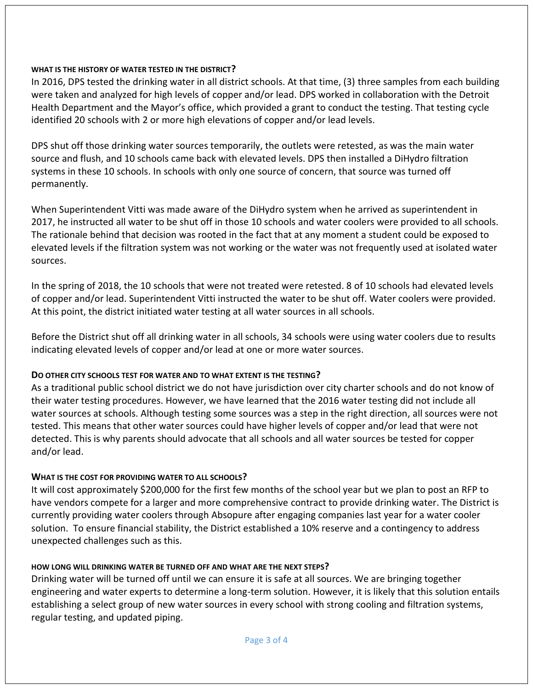### **WHAT IS THE HISTORY OF WATER TESTED IN THE DISTRICT?**

In 2016, DPS tested the drinking water in all district schools. At that time, (3) three samples from each building were taken and analyzed for high levels of copper and/or lead. DPS worked in collaboration with the Detroit Health Department and the Mayor's office, which provided a grant to conduct the testing. That testing cycle identified 20 schools with 2 or more high elevations of copper and/or lead levels.

DPS shut off those drinking water sources temporarily, the outlets were retested, as was the main water source and flush, and 10 schools came back with elevated levels. DPS then installed a DiHydro filtration systems in these 10 schools. In schools with only one source of concern, that source was turned off permanently.

When Superintendent Vitti was made aware of the DiHydro system when he arrived as superintendent in 2017, he instructed all water to be shut off in those 10 schools and water coolers were provided to all schools. The rationale behind that decision was rooted in the fact that at any moment a student could be exposed to elevated levels if the filtration system was not working or the water was not frequently used at isolated water sources.

In the spring of 2018, the 10 schools that were not treated were retested. 8 of 10 schools had elevated levels of copper and/or lead. Superintendent Vitti instructed the water to be shut off. Water coolers were provided. At this point, the district initiated water testing at all water sources in all schools.

Before the District shut off all drinking water in all schools, 34 schools were using water coolers due to results indicating elevated levels of copper and/or lead at one or more water sources.

### **DO OTHER CITY SCHOOLS TEST FOR WATER AND TO WHAT EXTENT IS THE TESTING?**

As a traditional public school district we do not have jurisdiction over city charter schools and do not know of their water testing procedures. However, we have learned that the 2016 water testing did not include all water sources at schools. Although testing some sources was a step in the right direction, all sources were not tested. This means that other water sources could have higher levels of copper and/or lead that were not detected. This is why parents should advocate that all schools and all water sources be tested for copper and/or lead.

### **WHAT IS THE COST FOR PROVIDING WATER TO ALL SCHOOLS?**

It will cost approximately \$200,000 for the first few months of the school year but we plan to post an RFP to have vendors compete for a larger and more comprehensive contract to provide drinking water. The District is currently providing water coolers through Absopure after engaging companies last year for a water cooler solution. To ensure financial stability, the District established a 10% reserve and a contingency to address unexpected challenges such as this.

### **HOW LONG WILL DRINKING WATER BE TURNED OFF AND WHAT ARE THE NEXT STEPS?**

Drinking water will be turned off until we can ensure it is safe at all sources. We are bringing together engineering and water experts to determine a long-term solution. However, it is likely that this solution entails establishing a select group of new water sources in every school with strong cooling and filtration systems, regular testing, and updated piping.